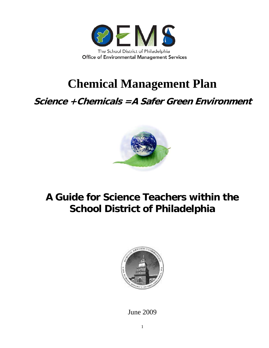

## **Chemical Management Plan**

**Science +Chemicals =A Safer Green Environment** 



## **A Guide for Science Teachers within the School District of Philadelphia**



June 2009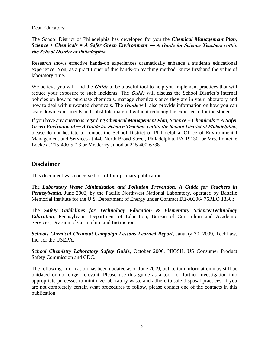Dear Educators:

#### The School District of Philadelphia has developed for you the *Chemical Management Plan, Science + Chemicals = A Safer Green Environment* **— A Guide for Science Teachers within the School District of Philadelphia**.

Research shows effective hands-on experiences dramatically enhance a student's educational experience. You, as a practitioner of this hands-on teaching method, know firsthand the value of laboratory time.

We believe you will find the *Guide* to be a useful tool to help you implement practices that will reduce your exposure to such incidents. The **Guide** will discuss the School District's internal policies on how to purchase chemicals, manage chemicals once they are in your laboratory and how to deal with unwanted chemicals. The **Guide** will also provide information on how you can scale down experiments and substitute material without reducing the experience for the student.

If you have any questions regarding *Chemical Management Plan*, *Science + Chemicals = A Safer Green Environment***— A Guide for Science Teachers within the School District of Philadelphia**., please do not hesitate to contact the School District of Philadelphia, Office of Environmental Management and Services at 440 North Broad Street, Philadelphia, PA 19130, or Mrs. Francine Locke at 215-400-5213 or Mr. Jerrry Junod at 215-400-6738.

#### **Disclaimer**

This document was conceived off of four primary publications:

The *Laboratory Waste Minimization and Pollution Prevention, A Guide for Teachers in Pennsylvania*, June 2003, by the Pacific Northwest National Laboratory, operated by Battelle Memorial Institute for the U.S. Department of Energy under Contract DE-AC06- 76RLO 1830.;

The *Safety Guidelines for Technology Education & Elementary Science/Technology Education*, Pennsylvania Department of Education, Bureau of Curriculum and Academic Services, Division of Curriculum and Instruction.

*Schools Chemical Cleanout Campaign Lessons Learned Report*, January 30, 2009, TechLaw, Inc, for the USEPA.

*School Chemistry Laboratory Safety Guide*, October 2006, NIOSH, US Consumer Product Safety Commission and CDC.

The following information has been updated as of June 2009, but certain information may still be outdated or no longer relevant. Please use this guide as a tool for further investigation into appropriate processes to minimize laboratory waste and adhere to safe disposal practices. If you are not completely certain what procedures to follow, please contact one of the contacts in this publication.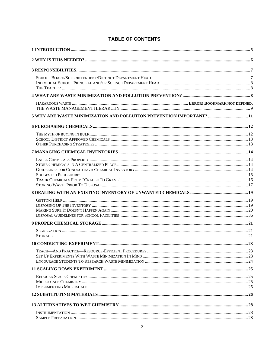| 5 WHY ARE WASTE MINIMIZATION AND POLLUTION PREVENTION IMPORTANT?  11 |  |
|----------------------------------------------------------------------|--|
|                                                                      |  |
|                                                                      |  |
|                                                                      |  |
|                                                                      |  |
|                                                                      |  |
|                                                                      |  |
|                                                                      |  |
|                                                                      |  |
|                                                                      |  |
|                                                                      |  |
|                                                                      |  |
|                                                                      |  |
|                                                                      |  |
|                                                                      |  |
|                                                                      |  |

#### **TABLE OF CONTENTS**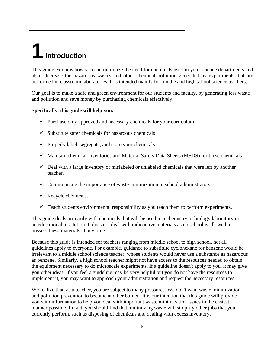## <span id="page-4-0"></span>**1 Introduction**

This guide explains how you can minimize the need for chemicals used in your science departments and also decrease the hazardous wastes and other chemical pollution generated by experiments that are performed in classroom laboratories. It is intended mainly for middle and high school science teachers.

Our goal is to make a safe and green environment for our students and faculty, by generating less waste and pollution and save money by purchasing chemicals effectively.

#### **Specifically, this guide will help you:**

- $\checkmark$  Purchase only approved and necessary chemicals for your curriculum
- $\checkmark$  Substitute safer chemicals for hazardous chemicals
- $\checkmark$  Properly label, segregate, and store your chemicals
- $\checkmark$  Maintain chemical inventories and Material Safety Data Sheets (MSDS) for these chemicals
- $\checkmark$  Deal with a large inventory of mislabeled or unlabeled chemicals that were left by another teacher.
- $\checkmark$  Communicate the importance of waste minimization to school administrators.
- $\checkmark$  Recycle chemicals.
- $\checkmark$  Teach students environmental responsibility as you teach them to perform experiments.

This guide deals primarily with chemicals that will be used in a chemistry or biology laboratory in an educational institution. It does not deal with radioactive materials as no school is allowed to possess these materials at any time.

Because this guide is intended for teachers ranging from middle school to high school, not all guidelines apply to everyone. For example, guidance to substitute cyclohexane for benzene would be irrelevant to a middle school science teacher, whose students would never use a substance as hazardous as benzene. Similarly, a high school teacher might not have access to the resources needed to obtain the equipment necessary to do microscale experiments. If a guideline doesn't apply to you, it may give you other ideas. If you feel a guideline may be very helpful but you do not have the resources to implement it, you may want to approach your administration and request the necessary resources.

We realize that, as a teacher, you are subject to many pressures. We don't want waste minimization and pollution prevention to become another burden. It is our intention that this guide will provide you with information to help you deal with important waste minimization issues in the easiest manner possible. In fact, you should find that minimizing waste will simplify other jobs that you currently perform, such as disposing of chemicals and dealing with excess inventory.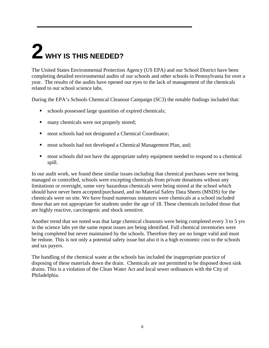## <span id="page-5-0"></span>**2 WHY IS THIS NEEDED?**

The United States Environmental Protection Agency (US EPA) and our School District have been completing detailed environmental audits of our schools and other schools in Pennsylvania for over a year. The results of the audits have opened our eyes to the lack of management of the chemicals related to our school science labs.

During the EPA's Schools Chemical Cleanout Campaign (SC3) the notable findings included that:

- schools possessed large quantities of expired chemicals;
- $\blacksquare$  many chemicals were not properly stored;
- **nost schools had not designated a Chemical Coordinator;**
- **most schools had not developed a Chemical Management Plan, and;**
- **F** most schools did not have the appropriate safety equipment needed to respond to a chemical spill.

In our audit work, we found these similar issues including that chemical purchases were not being managed or controlled, schools were excepting chemicals from private donations without any limitations or oversight, some very hazardous chemicals were being stored at the school which should have never been accepted/purchased, and no Material Safety Data Sheets (MSDS) for the chemicals were on site. We have found numerous instances were chemicals at a school included those that are not appropriate for students under the age of 18. These chemicals included those that are highly reactive, carcinogenic and shock sensitive.

Another trend that we noted was that large chemical cleanouts were being completed every 3 to 5 yrs in the science labs yet the same repeat issues are being identified. Full chemical inventories were being completed but never maintained by the schools. Therefore they are no longer valid and must be redone. This is not only a potential safety issue but also it is a high economic cost to the schools and tax payers.

The handling of the chemical waste at the schools has included the inappropriate practice of disposing of these materials down the drain. Chemicals are not permitted to be disposed down sink drains. This is a violation of the Clean Water Act and local sewer ordinances with the City of Philadelphia.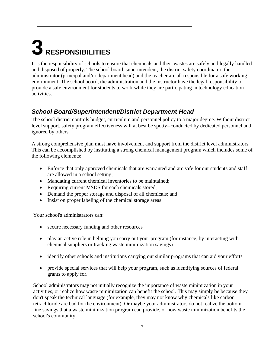## <span id="page-6-0"></span>**3 RESPONSIBILITIES**

It is the responsibility of schools to ensure that chemicals and their wastes are safely and legally handled and disposed of properly. The school board, superintendent, the district safety coordinator, the administrator (principal and/or department head) and the teacher are all responsible for a safe working environment. The school board, the administration and the instructor have the legal responsibility to provide a safe environment for students to work while they are participating in technology education activities.

## <span id="page-6-1"></span>*School Board/Superintendent/District Department Head*

The school district controls budget, curriculum and personnel policy to a major degree. Without district level support, safety program effectiveness will at best be spotty--conducted by dedicated personnel and ignored by others.

A strong comprehensive plan must have involvement and support from the district level administrators. This can be accomplished by instituting a strong chemical management program which includes some of the following elements:

- Enforce that only approved chemicals that are warranted and are safe for our students and staff are allowed in a school setting;
- Mandating current chemical inventories to be maintained;
- Requiring current MSDS for each chemicals stored;
- Demand the proper storage and disposal of all chemicals; and
- Insist on proper labeling of the chemical storage areas.

Your school's administrators can:

- secure necessary funding and other resources
- play an active role in helping you carry out your program (for instance, by interacting with chemical suppliers or tracking waste minimization savings)
- identify other schools and institutions carrying out similar programs that can aid your efforts
- provide special services that will help your program, such as identifying sources of federal grants to apply for.

School administrators may not initially recognize the importance of waste minimization in your activities, or realize how waste minimization can benefit the school. This may simply be because they don't speak the technical language (for example, they may not know why chemicals like carbon tetrachloride are bad for the environment). Or maybe your administrators do not realize the bottomline savings that a waste minimization program can provide, or how waste minimization benefits the school's community.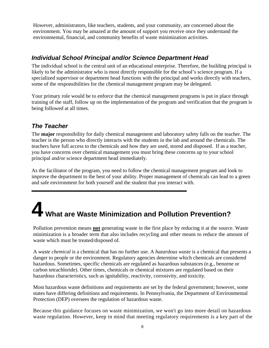However, administrators, like teachers, students, and your community, are concerned about the environment. You may be amazed at the amount of support you receive once they understand the environmental, financial, and community benefits of waste minimization activities.

### <span id="page-7-0"></span>*Individual School Principal and/or Science Department Head*

The individual school is the central unit of an educational enterprise. Therefore, the building principal is likely to be the administrator who is most directly responsible for the school's science program. If a specialized supervisor or department head functions with the principal and works directly with teachers, some of the responsibilities for the chemical management program may be delegated.

Your primary role would be to enforce that the chemical management programs is put in place through training of the staff, follow up on the implementation of the program and verification that the program is being followed at all times.

#### *The Teacher*

<span id="page-7-1"></span>The **major** responsibility for daily chemical management and laboratory safety falls on the teacher. The teacher is the person who directly interacts with the students in the lab and around the chemicals. The teachers have full access to the chemicals and how they are used, stored and disposed. If as a teacher, you have concerns over chemical management you must bring these concerns up to your school principal and/or science department head immediately.

As the facilitator of the program, you need to follow the chemical management program and look to improve the department to the best of your ability. Proper management of chemicals can lead to a green and safe environment for both yourself and the student that you interact with.

## <span id="page-7-2"></span>**4 What are Waste Minimization and Pollution Prevention?**

Pollution prevention means **not** generating waste in the first place by reducing it at the source. Waste minimization is a broader term that also includes recycling and other means to reduce the amount of waste which must be treated/disposed of.

A *waste chemical* is a chemical that has no further use. A *hazardous waste* is a chemical that presents a danger to people or the environment. Regulatory agencies determine which chemicals are considered hazardous. Sometimes, specific chemicals are regulated as hazardous substances (e.g., benzene or carbon tetrachloride). Other times, chemicals or chemical mixtures are regulated based on their hazardous characteristics, such as ignitability, reactivity, corrosivity, and toxicity.

Most hazardous waste definitions and requirements are set by the federal government; however, some states have differing definitions and requirements. In Pennsylvania, the Department of Environmental Protection (DEP) oversees the regulation of hazardous waste.

Because this guidance focuses on waste minimization, we won't go into more detail on hazardous waste regulation. However, keep in mind that meeting regulatory requirements is a key part of the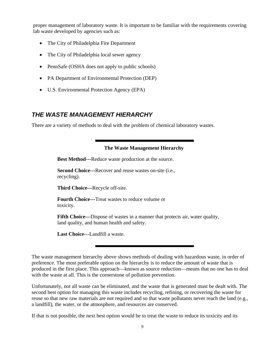proper management of laboratory waste. It is important to be familiar with the requirements covering lab waste developed by agencies such as:

- The City of Philadelphia Fire Department
- The City of Philadelphia local sewer agency
- PennSafe (OSHA does not apply to public schools)
- PA Department of Environmental Protection (DEP)
- U.S. Environmental Protection Agency (EPA)

### <span id="page-8-0"></span>*THE WASTE MANAGEMENT HIERARCHY*

There are a variety of methods to deal with the problem of chemical laboratory wastes.

#### **The Waste Management Hierarchy**

**Best Method---**Reduce waste production at the source.

**Second Choice---**Recover and reuse wastes on-site (i.e., recycling).

**Third Choice---**Recycle off-site.

**Fourth Choice---**Treat wastes to reduce volume or toxicity.

**Fifth Choice---**Dispose of wastes in a manner that protects air, water quality, land quality, and human health and safety.

**Last Choice-**--Landfill a waste.

Unfortunately, not all waste can be eliminated, and the waste that is generated must be dealt with. The second best option for managing this waste includes recycling, refining, or recovering the waste for reuse so that new raw materials are not required and so that waste pollutants never reach the land (e.g., a landfill), the water, or the atmosphere, and resources are conserved.

If that is not possible, the next best option would be to treat the waste to reduce its toxicity and its

The waste management hierarchy above shows methods of dealing with hazardous waste, in order of preference. The most preferable option on the hierarchy is to reduce the amount of waste that is produced in the first place. This approach—known as source reduction—means that no one has to deal with the waste at all. This is the cornerstone of pollution prevention.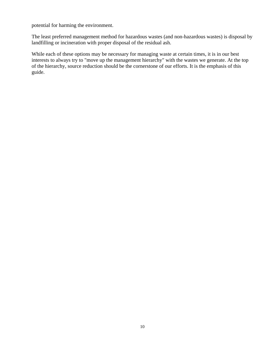potential for harming the environment.

The least preferred management method for hazardous wastes (and non-hazardous wastes) is disposal by landfilling or incineration with proper disposal of the residual ash.

While each of these options may be necessary for managing waste at certain times, it is in our best interests to always try to "move up the management hierarchy" with the wastes we generate. At the top of the hierarchy, source reduction should be the cornerstone of our efforts. It is the emphasis of this guide.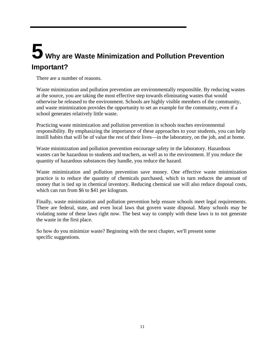## <span id="page-10-0"></span>**5 Why are Waste Minimization and Pollution Prevention Important?**

There are a number of reasons.

Waste minimization and pollution prevention are environmentally responsible. By reducing wastes at the source, you are taking the most effective step towards eliminating wastes that would otherwise be released to the environment. Schools are highly visible members of the community, and waste minimization provides the opportunity to set an example for the community, even if a school generates relatively little waste.

Practicing waste minimization and pollution prevention in schools teaches environmental responsibility. By emphasizing the importance of these approaches to your students, you can help instill habits that will be of value the rest of their lives—in the laboratory, on the job, and at home.

Waste minimization and pollution prevention encourage safety in the laboratory. Hazardous wastes can be hazardous to students and teachers, as well as to the environment. If you reduce the quantity of hazardous substances they handle, you reduce the hazard.

Waste minimization and pollution prevention save money. One effective waste minimization practice is to reduce the quantity of chemicals purchased, which in turn reduces the amount of money that is tied up in chemical inventory. Reducing chemical use will also reduce disposal costs, which can run from \$6 to \$41 per kilogram.

Finally, waste minimization and pollution prevention help ensure schools meet legal requirements. There are federal, state, and even local laws that govern waste disposal. Many schools may be violating some of these laws right now. The best way to comply with these laws is to not generate the waste in the first place.

So how do you minimize waste? Beginning with the next chapter, we'll present some specific suggestions.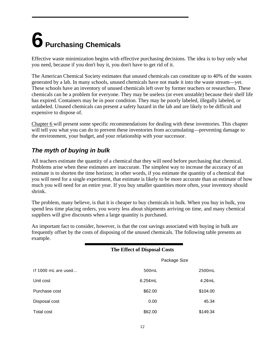## <span id="page-11-0"></span>**6 Purchasing Chemicals**

Effective waste minimization begins with effective purchasing decisions. The idea is to buy only what you need, because if you don't buy it, you don't have to get rid of it.

The American Chemical Society estimates that unused chemicals can constitute up to 40% of the wastes generated by a lab. In many schools, unused chemicals have not made it into the waste stream—yet. These schools have an inventory of unused chemicals left over by former teachers or researchers. These chemicals can be a problem for everyone. They may be useless (or even unstable) because their shelf life has expired. Containers may be in poor condition. They may be poorly labeled, illegally labeled, or unlabeled. Unused chemicals can present a safety hazard in the lab and are likely to be difficult and expensive to dispose of.

Chapter 6 will present some specific recommendations for dealing with these inventories. This chapter will tell you what you can do to prevent these inventories from accumulating—preventing damage to the environment, your budget, and your relationship with your successor.

## <span id="page-11-1"></span>*The myth of buying in bulk*

All teachers estimate the quantity of a chemical that they will need before purchasing that chemical. Problems arise when these estimates are inaccurate. The simplest way to increase the accuracy of an estimate is to shorten the time horizon; in other words, if you estimate the quantity of a chemical that you will need for a single experiment, that estimate is likely to be more accurate than an estimate of how much you will need for an entire year. If you buy smaller quantities more often, your inventory should shrink.

The problem, many believe, is that it is cheaper to buy chemicals in bulk. When you buy in bulk, you spend less time placing orders, you worry less about shipments arriving on time, and many chemical suppliers will give discounts when a large quantity is purchased.

An important fact to consider, however, is that the cost savings associated with buying in bulk are frequently offset by the costs of disposing of the unused chemicals. The following table presents an example.

|                     | <b>The Effect of Disposal Costs</b> |              |
|---------------------|-------------------------------------|--------------|
|                     |                                     | Package Size |
| If 1000 mL are used | 500mL                               | 2500mL       |
| Unit cost           | $6.25$ ¢mL                          | $4.2$ ¢mL    |
| Purchase cost       | \$62.00                             | \$104.00     |
| Disposal cost       | 0.00                                | 45.34        |
| Total cost          | \$62.00                             | \$149.34     |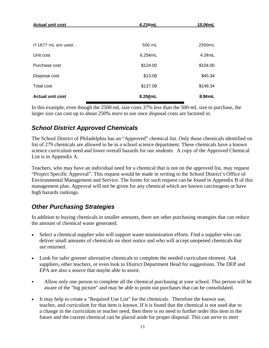| <b>Actual unit cost</b> | $6.21$ ¢mL | 15.0 $\epsilon$ mL |
|-------------------------|------------|--------------------|
|                         |            |                    |
| If 1677 mL are used     | 500 mL     | 2500mL             |
| Unit cost               | $6.25$ ¢mL | $4.2$ ¢mL          |
| Purchase cost           | \$124.00   | \$104.00           |
| Disposal cost           | \$13.08    | \$45.34            |
| <b>Total cost</b>       | \$137.08   | \$149.34           |
| <b>Actual unit cost</b> | 8.20cmL    | $8.9$ cmL          |

In this example, even though the 2500-mL size costs 37% less than the 500-mL size to purchase, the larger size can cost up to about 250% *more* to use once disposal costs are factored in.

### <span id="page-12-0"></span>*School District Approved Chemicals*

The School District of Philadelphia has an "Approved" chemical list. Only those chemicals identified on list of 279 chemicals are allowed to be in a school science department. These chemicals have a known science curriculum need and lower overall hazards for our students. A copy of the Approved Chemical List is in Appendix A.

Teachers, who may have an individual need for a chemical that is not on the approved list, may request "Project Specific Approval". This request would be made in writing to the School District's Office of Environmental Management and Service. The forms for such request can be found in Appendix B of this management plan. Approval will not be given for any chemical which are known carcinogens or have high hazards rankings.

### <span id="page-12-1"></span>*Other Purchasing Strategies*

In addition to buying chemicals in smaller amounts, there are other purchasing strategies that can reduce the amount of chemical waste generated.

- Select a chemical supplier who will support waste minimization efforts. Find a supplier who can deliver small amounts of chemicals on short notice and who will accept unopened chemicals that are returned.
- Look for safer greener alternative chemicals to complete the needed curriculum element. Ask suppliers, other teachers, or even look to District Department Head for suggestions. The DEP and EPA are also a source that maybe able to assist.
- Allow only one person to complete all the chemical purchasing at your school. This person will be aware of the "big picture" and may be able to point out purchases that can be consolidated.
- It may help to create a "Required Use List" for the chemicals. Therefore the known use, teacher, and curriculum for that item is known. If it is found that the chemical is not used due to a change in the curriculum or teacher need, then there is no need to further order this item in the future and the current chemical can be placed aside for proper disposal. This can serve to steer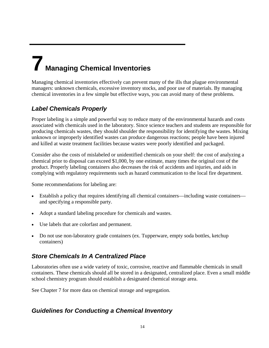## <span id="page-13-0"></span>**7 Managing Chemical Inventories**

Managing chemical inventories effectively can prevent many of the ills that plague environmental managers: unknown chemicals, excessive inventory stocks, and poor use of materials. By managing chemical inventories in a few simple but effective ways, you can avoid many of these problems.

## <span id="page-13-1"></span>*Label Chemicals Properly*

Proper labeling is a simple and powerful way to reduce many of the environmental hazards and costs associated with chemicals used in the laboratory. Since science teachers and students are responsible for producing chemicals wastes, they should shoulder the responsibility for identifying the wastes. Mixing unknown or improperly identified wastes can produce dangerous reactions; people have been injured and killed at waste treatment facilities because wastes were poorly identified and packaged.

Consider also the costs of mislabeled or unidentified chemicals on your shelf: the cost of analyzing a chemical prior to disposal can exceed \$1,000, by one estimate, many times the original cost of the product. Properly labeling containers also decreases the risk of accidents and injuries, and aids in complying with regulatory requirements such as hazard communication to the local fire department.

Some recommendations for labeling are:

- Establish a policy that requires identifying all chemical containers—including waste containers and specifying a responsible party.
- Adopt a standard labeling procedure for chemicals and wastes.
- Use labels that are colorfast and permanent.
- Do not use non-laboratory grade containers (ex. Tupperware, empty soda bottles, ketchup containers)

## <span id="page-13-2"></span>*Store Chemicals In A Centralized Place*

Laboratories often use a wide variety of toxic, corrosive, reactive and flammable chemicals in small containers. These chemicals should all be stored in a designated, centralized place. Even a small middle school chemistry program should establish a designated chemical storage area.

See Chapter 7 for more data on chemical storage and segregation.

## <span id="page-13-3"></span>*Guidelines for Conducting a Chemical Inventory*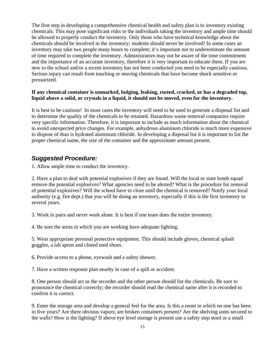The first step in developing a comprehensive chemical health and safety plan is to inventory existing chemicals. This may pose significant risks to the individuals taking the inventory and ample time should be allowed to properly conduct the inventory. Only those who have technical knowledge about the chemicals should be involved in the inventory; students should never be involved! In some cases an inventory may take two people many hours to complete; it's important not to underestimate the amount of time required to complete the inventory. Administrators may not be aware of the time commitment and the importance of an accurate inventory, therefore it is very important to educate them. If you are new to the school and/or a recent inventory has not been conducted you need to be especially cautious. Serious injury can result from touching or moving chemicals that have become shock sensitive or pressurized.

#### **If any chemical container is unmarked, bulging, leaking, rusted, cracked, or has a degraded top, liquid above a solid, or crystals in a liquid, it should not be moved, even for the inventory.**

It is best to be cautious! In most cases the inventory will need to be used to generate a disposal list and to determine the quality of the chemicals to be retained. Hazardous waste removal companies require very specific information. Therefore, it is important to include as much information about the chemical to avoid unexpected price changes. For example, anhydrous aluminum chloride is much more expensive to dispose of than is hydrated aluminum chloride. In developing a disposal list it is important to list the proper chemical name, the size of the container and the approximate amount present.

#### <span id="page-14-0"></span>*Suggested Procedure:*

1. Allow ample time to conduct the inventory.

2. Have a plan to deal with potential explosives if they are found. Will the local or state bomb squad remove the potential explosives? What agencies need to be alerted? What is the procedure for removal of potential explosives? Will the school have to close until the chemical is removed? Notify your local authority (e.g. fire dept.) that you will be doing an inventory, especially if this is the first inventory in several years.

3. Work in pairs and never work alone. It is best if one team does the entire inventory.

4. Be sure the areas in which you are working have adequate lighting.

5. Wear appropriate personal protective equipment. This should include gloves, chemical splash goggles, a lab apron and closed toed shoes.

6. Provide access to a phone, eyewash and a safety shower.

7. Have a written response plan nearby in case of a spill or accident.

8. One person should act as the recorder and the other person should list the chemicals. Be sure to pronounce the chemical correctly; the recorder should read the chemical name after it is recorded to confirm it is correct.

9. Enter the storage area and develop a general feel for the area. Is this a room in which no one has been in five years? Are there obvious vapors; are broken containers present? Are the shelving units secured to the walls? How is the lighting? If above eye level storage is present use a safety step stool or a small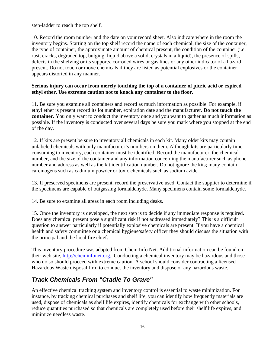step-ladder to reach the top shelf.

10. Record the room number and the date on your record sheet. Also indicate where in the room the inventory begins. Starting on the top shelf record the name of each chemical, the size of the container, the type of container, the approximate amount of chemical present, the condition of the container (i.e. rust, cracks, degraded top, bulging, liquid above a solid, crystals in a liquid), the presence of spills, defects in the shelving or its supports, corroded wires or gas lines or any other indicator of a hazard present. Do not touch or move chemicals if they are listed as potential explosives or the container appears distorted in any manner.

#### **Serious injury can occur from merely touching the top of a container of picric acid or expired ethyl ether. Use extreme caution not to knock any container to the floor.**

11. Be sure you examine all containers and record as much information as possible. For example, if ethyl ether is present record its lot number, expiration date and the manufacturer. **Do not touch the container.** You only want to conduct the inventory once and you want to gather as much information as possible. If the inventory is conducted over several days be sure you mark where you stopped at the end of the day.

12. If kits are present be sure to inventory all chemicals in each kit. Many older kits may contain unlabeled chemicals with only manufacturer's numbers on them. Although kits are particularly time consuming to inventory, each container must be identified. Record the manufacturer, the chemical number, and the size of the container and any information concerning the manufacturer such as phone number and address as well as the kit identification number. Do not ignore the kits; many contain carcinogens such as cadmium powder or toxic chemicals such as sodium azide.

13. If preserved specimens are present, record the preservative used. Contact the supplier to determine if the specimens are capable of outgassing formaldehyde. Many specimens contain some formaldehyde.

14. Be sure to examine all areas in each room including desks.

15. Once the inventory is developed, the next step is to decide if any immediate response is required. Does any chemical present pose a significant risk if not addressed immediately? This is a difficult question to answer particularly if potentially explosive chemicals are present. If you have a chemical health and safety committee or a chemical hygiene/safety officer they should discuss the situation with the principal and the local fire chief.

This inventory procedure was adapted from Chem Info Net. Additional information can be found on their web site, http://cheminfonet.org. Conducting a chemical inventory may be hazardous and those who do so should proceed with extreme caution. A school should consider contracting a licensed Hazardous Waste disposal firm to conduct the inventory and dispose of any hazardous waste.

### <span id="page-15-0"></span>*Track Chemicals From "Cradle To Grave"*

An effective chemical tracking system and inventory control is essential to waste minimization. For instance, by tracking chemical purchases and shelf life, you can identify how frequently materials are used, dispose of chemicals as shelf life expires, identify chemicals for exchange with other schools, reduce quantities purchased so that chemicals are completely used before their shelf life expires, and minimize needless waste.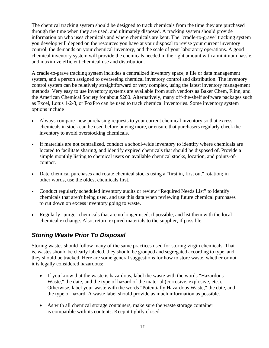The chemical tracking system should be designed to track chemicals from the time they are purchased through the time when they are used, and ultimately disposed. A tracking system should provide information on who uses chemicals and where chemicals are kept. The "cradle-to-grave" tracking system you develop will depend on the resources you have at your disposal to revise your current inventory control, the demands on your chemical inventory, and the scale of your laboratory operations. A good chemical inventory system will provide the chemicals needed in the right amount with a minimum hassle, and maximize efficient chemical use and distribution.

A cradle-to-grave tracking system includes a centralized inventory space, a file or data management system, and a person assigned to overseeing chemical inventory control and distribution. The inventory control system can be relatively straightforward or very complex, using the latest inventory management methods. Very easy to use inventory systems are available from such vendors as Baker Chem, Flinn, and the American Chemical Society for about \$200. Alternatively, many off-the-shelf software packages such as Excel, Lotus 1-2-3, or FoxPro can be used to track chemical inventories. Some inventory system options include

- Always compare new purchasing requests to your current chemical inventory so that excess chemicals in stock can be used before buying more, or ensure that purchasers regularly check the inventory to avoid overstocking chemicals.
- If materials are not centralized, conduct a school-wide inventory to identify where chemicals are located to facilitate sharing, and identify expired chemicals that should be disposed of. Provide a simple monthly listing to chemical users on available chemical stocks, location, and points-ofcontact.
- Date chemical purchases and rotate chemical stocks using a "first in, first out" rotation; in other words, use the oldest chemicals first.
- Conduct regularly scheduled inventory audits or review "Required Needs List" to identify chemicals that aren't being used, and use this data when reviewing future chemical purchases to cut down on excess inventory going to waste.
- Regularly "purge" chemicals that are no longer used, if possible, and list them with the local chemical exchange. Also, return expired materials to the supplier, if possible.

### <span id="page-16-0"></span>*Storing Waste Prior To Disposal*

Storing wastes should follow many of the same practices used for storing virgin chemicals. That is, wastes should be clearly labeled, they should be grouped and segregated according to type, and they should be tracked. Here are some general suggestions for how to store waste, whether or not it is legally considered hazardous:

- If you know that the waste is hazardous, label the waste with the words "Hazardous Waste," the date, and the type of hazard of the material (corrosive, explosive, etc.). Otherwise, label your waste with the words "Potentially Hazardous Waste," the date, and the type of hazard. A waste label should provide as much information as possible.
- As with all chemical storage containers, make sure the waste storage container is compatible with its contents. Keep it tightly closed.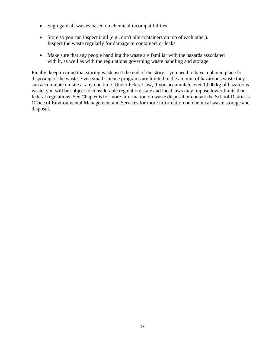- Segregate all wastes based on chemical incompatibilities.
- Store so you can inspect it all (e.g., don't pile containers on top of each other). Inspect the waste regularly for damage to containers or leaks.
- Make sure that any people handling the waste are familiar with the hazards associated with it, as well as with the regulations governing waste handling and storage.

Finally, keep in mind that storing waste isn't the end of the story—you need to have a plan in place for disposing of the waste. Even small science programs are limited in the amount of hazardous waste they can accumulate on-site at any one time. Under federal law, if you accumulate over 1,000 kg of hazardous waste, you will be subject to considerable regulation; state and local laws may impose lower limits than federal regulations. See Chapter 6 for more information on waste disposal or contact the School District's Office of Environmental Management and Services for more information on chemical waste storage and disposal.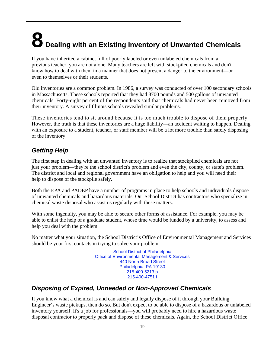# <span id="page-18-0"></span>**8 Dealing with an Existing Inventory of Unwanted Chemicals**

If you have inherited a cabinet full of poorly labeled or even unlabeled chemicals from a previous teacher, you are not alone. Many teachers are left with stockpiled chemicals and don't know how to deal with them in a manner that does not present a danger to the environment—or even to themselves or their students.

Old inventories are a common problem. In 1986, a survey was conducted of over 100 secondary schools in Massachusetts. These schools reported that they had 8700 pounds and 500 gallons of unwanted chemicals. Forty-eight percent of the respondents said that chemicals had never been removed from their inventory. A survey of Illinois schools revealed similar problems.

These inventories tend to sit around because it is too much trouble to dispose of them properly. However, the truth is that these inventories are a huge liability—an accident waiting to happen. Dealing with an exposure to a student, teacher, or staff member will be a lot more trouble than safely disposing of the inventory.

## <span id="page-18-1"></span>*Getting Help*

The first step in dealing with an unwanted inventory is to realize that stockpiled chemicals are not just your problem—they're the school district's problem and even the city, county, or state's problem. The district and local and regional government have an obligation to help and you will need their help to dispose of the stockpile safely.

Both the EPA and PADEP have a number of programs in place to help schools and individuals dispose of unwanted chemicals and hazardous materials. Our School District has contractors who specialize in chemical waste disposal who assist us regularly with these matters.

With some ingenuity, you may be able to secure other forms of assistance. For example, you may be able to enlist the help of a graduate student, whose time would be funded by a university, to assess and help you deal with the problem.

No matter what your situation, the School District's Office of Environmental Management and Services should be your first contacts in trying to solve your problem.

> School District of Philadelphia Office of Environmental Management & Services 440 North Broad Street Philadelphia, PA 19130 215-400-5213 p 215-400-4751 f

## <span id="page-18-2"></span>*Disposing of Expired, Unneeded or Non-Approved Chemicals*

If you know what a chemical is and can safely and legally dispose of it through your Building Engineer's waste pickups, then do so. But don't expect to be able to dispose of a hazardous or unlabeled inventory yourself. It's a job for professionals—you will probably need to hire a hazardous waste disposal contractor to properly pack and dispose of these chemicals. Again, the School District Office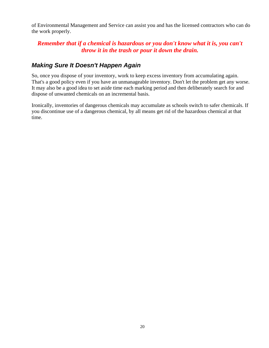of Environmental Management and Service can assist you and has the licensed contractors who can do the work properly.

#### *Remember that if a chemical is hazardous or you don't know what it is, you can't throw it in the trash or pour it down the drain.*

#### <span id="page-19-0"></span>*Making Sure It Doesn't Happen Again*

So, once you dispose of your inventory, work to keep excess inventory from accumulating again. That's a good policy even if you have an unmanageable inventory. Don't let the problem get any worse. It may also be a good idea to set aside time each marking period and then deliberately search for and dispose of unwanted chemicals on an incremental basis.

Ironically, inventories of dangerous chemicals may accumulate as schools switch to safer chemicals. If you discontinue use of a dangerous chemical, by all means get rid of the hazardous chemical at that time.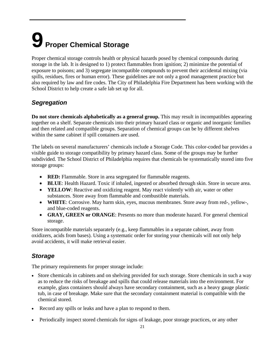## <span id="page-20-0"></span>**9 Proper Chemical Storage**

Proper chemical storage controls health or physical hazards posed by chemical compounds during storage in the lab. It is designed to 1) protect flammables from ignition; 2) minimize the potential of exposure to poisons; and 3) segregate incompatible compounds to prevent their accidental mixing (via spills, residues, fires or human error). These guidelines are not only a good management practice but also required by law and fire codes. The City of Philadelphia Fire Department has been working with the School District to help create a safe lab set up for all.

## <span id="page-20-1"></span>*Segregation*

**Do not store chemicals alphabetically as a general group.** This may result in incompatibles appearing together on a shelf. Separate chemicals into their primary hazard class or organic and inorganic families and then related and compatible groups. Separation of chemical groups can be by different shelves within the same cabinet if spill containers are used.

The labels on several manufacturers' chemicals include a Storage Code. This color-coded bar provides a visible guide to storage compatibility by primary hazard class. Some of the groups may be further subdivided. The School District of Philadelphia requires that chemicals be systematically stored into five storage groups:

- **RED:** Flammable. Store in area segregated for flammable reagents.
- **BLUE**: Health Hazard. Toxic if inhaled, ingested or absorbed through skin. Store in secure area.
- **YELLOW**: Reactive and oxidizing reagent. May react violently with air, water or other substances. Store away from flammable and combustible materials.
- **WHITE**: Corrosive. May harm skin, eyes, mucous membranes. Store away from red-, yellow-, and blue-coded reagents.
- **GRAY, GREEN or ORANGE**: Presents no more than moderate hazard. For general chemical storage.

Store incompatible materials separately (e.g., keep flammables in a separate cabinet, away from oxidizers, acids from bases). Using a systematic order for storing your chemicals will not only help avoid accidents, it will make retrieval easier.

### <span id="page-20-2"></span>*Storage*

The primary requirements for proper storage include:

- Store chemicals in cabinets and on shelving provided for such storage. Store chemicals in such a way as to reduce the risks of breakage and spills that could release materials into the environment. For example, glass containers should always have secondary containment, such as a heavy gauge plastic tub, in case of breakage. Make sure that the secondary containment material is compatible with the chemical stored.
- Record any spills or leaks and have a plan to respond to them.
- Periodically inspect stored chemicals for signs of leakage, poor storage practices, or any other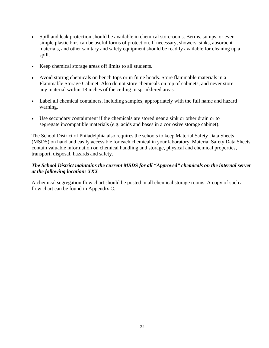- Spill and leak protection should be available in chemical storerooms. Berms, sumps, or even simple plastic bins can be useful forms of protection. If necessary, showers, sinks, absorbent materials, and other sanitary and safety equipment should be readily available for cleaning up a spill.
- Keep chemical storage areas off limits to all students.
- Avoid storing chemicals on bench tops or in fume hoods. Store flammable materials in a Flammable Storage Cabinet. Also do not store chemicals on top of cabinets, and never store any material within 18 inches of the ceiling in sprinklered areas.
- Label all chemical containers, including samples, appropriately with the full name and hazard warning.
- Use secondary containment if the chemicals are stored near a sink or other drain or to segregate incompatible materials (e.g. acids and bases in a corrosive storage cabinet).

The School District of Philadelphia also requires the schools to keep Material Safety Data Sheets (MSDS) on hand and easily accessible for each chemical in your laboratory. Material Safety Data Sheets contain valuable information on chemical handling and storage, physical and chemical properties, transport, disposal, hazards and safety.

#### *The School District maintains the current MSDS for all "Approved" chemicals on the internal server at the following location: XXX*

A chemical segregation flow chart should be posted in all chemical storage rooms. A copy of such a flow chart can be found in Appendix C.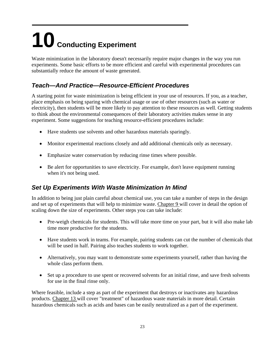## <span id="page-22-0"></span>**10 Conducting Experiment**

Waste minimization in the laboratory doesn't necessarily require major changes in the way you run experiments. Some basic efforts to be more efficient and careful with experimental procedures can substantially reduce the amount of waste generated.

## <span id="page-22-1"></span>*Teach—And Practice—Resource-Efficient Procedures*

A starting point for waste minimization is being efficient in your use of resources. If you, as a teacher, place emphasis on being sparing with chemical usage or use of other resources (such as water or electricity), then students will be more likely to pay attention to these resources as well. Getting students to think about the environmental consequences of their laboratory activities makes sense in any experiment. Some suggestions for teaching resource-efficient procedures include:

- Have students use solvents and other hazardous materials sparingly.
- Monitor experimental reactions closely and add additional chemicals only as necessary.
- Emphasize water conservation by reducing rinse times where possible.
- Be alert for opportunities to save electricity. For example, don't leave equipment running when it's not being used.

### <span id="page-22-2"></span>*Set Up Experiments With Waste Minimization In Mind*

In addition to being just plain careful about chemical use, you can take a number of steps in the design and set up of experiments that will help to minimize waste. Chapter 9 will cover in detail the option of scaling down the size of experiments. Other steps you can take include:

- Pre-weigh chemicals for students. This will take more time on your part, but it will also make lab time more productive for the students.
- Have students work in teams. For example, pairing students can cut the number of chemicals that will be used in half. Pairing also teaches students to work together.
- Alternatively, you may want to demonstrate some experiments yourself, rather than having the whole class perform them.
- Set up a procedure to use spent or recovered solvents for an initial rinse, and save fresh solvents for use in the final rinse only.

Where feasible, include a step as part of the experiment that destroys or inactivates any hazardous products. Chapter 13 will cover "treatment" of hazardous waste materials in more detail. Certain hazardous chemicals such as acids and bases can be easily neutralized as a part of the experiment.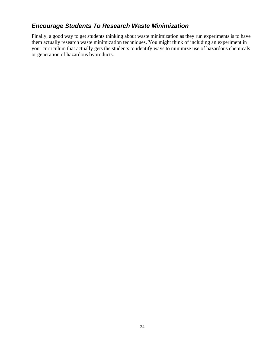### <span id="page-23-0"></span>*Encourage Students To Research Waste Minimization*

Finally, a good way to get students thinking about waste minimization as they run experiments is to have them actually research waste minimization techniques. You might think of including an experiment in your curriculum that actually gets the students to identify ways to minimize use of hazardous chemicals or generation of hazardous byproducts.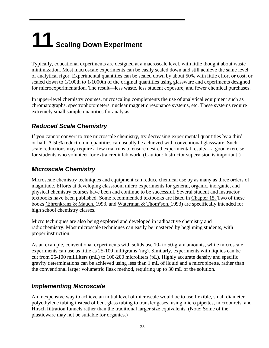## <span id="page-24-0"></span>**11 Scaling Down Experiment**

Typically, educational experiments are designed at a macroscale level, with little thought about waste minimization. Most macroscale experiments can be easily scaled down and still achieve the same level of analytical rigor. Experimental quantities can be scaled down by about 50% with little effort or cost, or scaled down to 1/100th to 1/1000th of the original quantities using glassware and experiments designed for microexperimentation. The result—less waste, less student exposure, and fewer chemical purchases.

In upper-level chemistry courses, microscaling complements the use of analytical equipment such as chromatographs, spectrophotometers, nuclear magnetic resonance systems, etc. These systems require extremely small sample quantities for analysis.

## <span id="page-24-1"></span>*Reduced Scale Chemistry*

If you cannot convert to true microscale chemistry, try decreasing experimental quantities by a third or half. A 50% reduction in quantities can usually be achieved with conventional glassware. Such scale reductions may require a few trial runs to ensure desired experimental results—a good exercise for students who volunteer for extra credit lab work. (Caution: Instructor supervision is important!)

### <span id="page-24-2"></span>*Microscale Chemistry*

Microscale chemistry techniques and equipment can reduce chemical use by as many as three orders of magnitude. Efforts at developing classroom micro experiments for general, organic, inorganic, and physical chemistry courses have been and continue to be successful. Several student and instructor textbooks have been published. Some recommended textbooks are listed in Chapter 15. Two of these books (Ehrenkranz & Mauch, 1993, and Waterman & Thom<sup>p</sup>son, 1993) are specifically intended for high school chemistry classes.

Micro techniques are also being explored and developed in radioactive chemistry and radiochemistry. Most microscale techniques can easily be mastered by beginning students, with proper instruction.

As an example, conventional experiments with solids use 10- to 50-gram amounts, while microscale experiments can use as little as 25-100 milligrams (mg). Similarly, experiments with liquids can be cut from 25-100 milliliters (mL) to 100-200 microliters (pL). Highly accurate density and specific gravity determinations can be achieved using less than 1 mL of liquid and a micropipette, rather than the conventional larger volumetric flask method, requiring up to 30 mL of the solution.

#### <span id="page-24-3"></span>*Implementing Microscale*

An inexpensive way to achieve an initial level of microscale would be to use flexible, small diameter polyethylene tubing instead of bent glass tubing to transfer gases, using micro pipettes, microburets, and Hirsch filtration funnels rather than the traditional larger size equivalents. (Note: Some of the plasticware may not be suitable for organics.)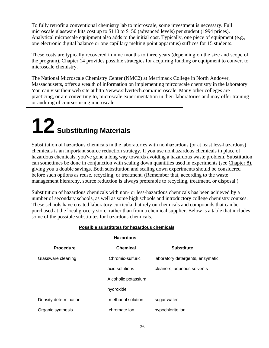To fully retrofit a conventional chemistry lab to microscale, some investment is necessary. Full microscale glassware kits cost up to \$110 to \$150 (advanced levels) per student (1994 prices). Analytical microscale equipment also adds to the initial cost. Typically, one piece of equipment (e.g., one electronic digital balance or one capillary melting point apparatus) suffices for 15 students.

These costs are typically recovered in nine months to three years (depending on the size and scope of the program). Chapter 14 provides possible strategies for acquiring funding or equipment to convert to microscale chemistry.

The National Microscale Chemistry Center (NMC2) at Merrimack College in North Andover, Massachusetts, offers a wealth of information on implementing mircorscale chemistry in the laboratory. You can visit their web site at http://www.silvertech.com/microscale. Many other colleges are practicing, or are converting to, microscale experimentation in their laboratories and may offer training or auditing of courses using microscale.

## <span id="page-25-0"></span>**12 Substituting Materials**

Substitution of hazardous chemicals in the laboratories with nonhazardous (or at least less-hazardous) chemicals is an important source reduction strategy. If you use nonhazardous chemicals in place of hazardous chemicals, you've gone a long way towards avoiding a hazardous waste problem. Substitution can sometimes be done in conjunction with scaling down quantities used in experiments (see Chapter 8), giving you a double savings. Both substitution and scaling down experiments should be considered before such options as reuse, recycling, or treatment. (Remember that, according to the waste management hierarchy, source reduction is always preferable to recycling, treatment, or disposal.)

Substitution of hazardous chemicals with non- or less-hazardous chemicals has been achieved by a number of secondary schools, as well as some high schools and introductory college chemistry courses. These schools have created laboratory curricula that rely on chemicals and compounds that can be purchased at the local grocery store, rather than from a chemical supplier. Below is a table that includes some of the possible substitutes for hazardous chemicals.

| <b>Hazardous</b>      |                     |                                  |
|-----------------------|---------------------|----------------------------------|
| <b>Procedure</b>      | <b>Chemical</b>     | <b>Substitute</b>                |
| Glassware cleaning    | Chromic-sulfuric    | laboratory detergents, enzymatic |
|                       | acid solutions      | cleaners, aqueous solvents       |
|                       | Alcoholic potassium |                                  |
|                       | hydroxide           |                                  |
| Density determination | methanol solution   | sugar water                      |
| Organic synthesis     | chromate ion        | hypochlorite ion                 |

#### **Possible substitutes for hazardous chemicals**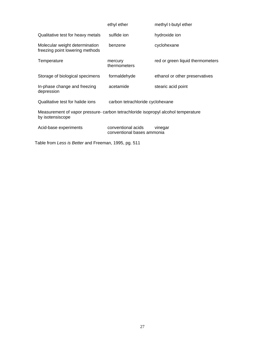|                                                                                                       | ethyl ether                                      | methyl t-butyl ether             |
|-------------------------------------------------------------------------------------------------------|--------------------------------------------------|----------------------------------|
| Qualitative test for heavy metals                                                                     | sulfide ion                                      | hydroxide ion                    |
| Molecular weight determination<br>freezing point lowering methods                                     | benzene                                          | cyclohexane                      |
| Temperature                                                                                           | mercury<br>thermometers                          | red or green liquid thermometers |
| Storage of biological specimens                                                                       | formaldehyde                                     | ethanol or other preservatives   |
| In-phase change and freezing<br>depression                                                            | acetamide                                        | stearic acid point               |
| Qualitative test for halide ions                                                                      | carbon tetrachloride cyclohexane                 |                                  |
| Measurement of vapor pressure- carbon tetrachloride isopropyl alcohol temperature<br>by isotensiscope |                                                  |                                  |
| Acid-base experiments                                                                                 | conventional acids<br>conventional bases ammonia | vinegar                          |

Table from *Less is Better* and Freeman, 1995, pg. 511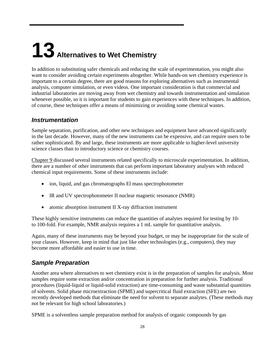# <span id="page-27-0"></span>**13 Alternatives to Wet Chemistry**

In addition to substituting safer chemicals and reducing the scale of experimentation, you might also want to consider avoiding certain experiments altogether. While hands-on wet chemistry experience is important to a certain degree, there are good reasons for exploring alternatives such as instrumental analysis, computer simulation, or even videos. One important consideration is that commercial and industrial laboratories are moving away from wet chemistry and towards instrumentation and simulation whenever possible, so it is important for students to gain experiences with these techniques. In addition, of course, these techniques offer a means of minimizing or avoiding some chemical wastes.

#### <span id="page-27-1"></span>*Instrumentation*

Sample separation, purification, and other new techniques and equipment have advanced significantly in the last decade. However, many of the new instruments can be expensive, and can require users to be rather sophisticated. By and large, these instruments are more applicable to higher-level university science classes than to introductory science or chemistry courses.

Chapter 9 discussed several instruments related specifically to microscale experimentation. In addition, there are a number of other instruments that can perform important laboratory analyses with reduced chemical input requirements. Some of these instruments include:

- ion, liquid, and gas chromatographs El mass spectrophotometer
- IR and UV spectrophotometer II nuclear magnetic resonance (NMR)
- atomic absorption instrument II X-ray diffraction instrument

These highly sensitive instruments can reduce the quantities of analytes required for testing by 10 to 100-fold. For example, NMR analysis requires a 1 mL sample for quantitative analysis.

Again, many of these instruments may be beyond your budget, or may be inappropriate for the scale of your classes. However, keep in mind that just like other technologies (e.g., computers), they may become more affordable and easier to use in time.

### <span id="page-27-2"></span>*Sample Preparation*

Another area where alternatives to wet chemistry exist is in the preparation of samples for analysis. Most samples require some extraction and/or concentration in preparation for further analysis. Traditional procedures (liquid-liquid or liquid-solid extraction) are time-consuming and waste substantial quantities of solvents. Solid phase microextraction (SPME) and supercritical fluid extraction (SFE) are two recently developed methods that eliminate the need for solvent to separate analytes. (These methods may not be relevant for high school laboratories.)

SPME is a solventless sample preparation method for analysis of organic compounds by gas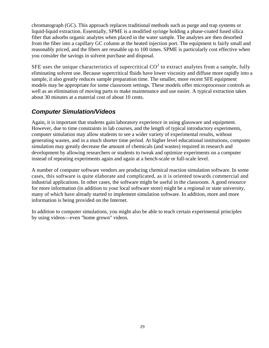chromatograph (GC). This approach replaces traditional methods such as purge and trap systems or liquid-liquid extraction. Essentially, SPME is a modified syringe holding a phase-coated fused silica fiber that adsorbs organic analytes when placed in the water sample. The analytes are then desorbed from the fiber into a capillary GC column at the heated injection port. The equipment is fairly small and reasonably priced, and the fibers are reusable up to 100 times. SPME is particularly cost effective when you consider the savings in solvent purchase and disposal.

SFE uses the unique characteristics of supercritical  $CO<sup>2</sup>$  to extract analytes from a sample, fully eliminating solvent use. Because supercritical fluids have lower viscosity and diffuse more rapidly into a sample, it also greatly reduces sample preparation time. The smaller, more recent SFE equipment models may be appropriate for some classroom settings. These models offer microprocessor controls as well as an elimination of moving parts to make maintenance and use easier. A typical extraction takes about 30 minutes at a material cost of about 10 cents.

#### <span id="page-28-0"></span>*Computer Simulation/Videos*

Again, it is important that students gain laboratory experience in using glassware and equipment. However, due to time constraints in lab courses, and the length of typical introductory experiments, computer simulation may allow students to see a wider variety of experimental results, without generating wastes, and in a much shorter time period. At higher level educational institutions, computer simulation may greatly decrease the amount of chemicals (and wastes) required in research and development by allowing researchers or students to tweak and optimize experiments on a computer instead of repeating experiments again and again at a bench-scale or full-scale level.

A number of computer software vendors are producing chemical reaction simulation software. In some cases, this software is quite elaborate and complicated, as it is oriented towards commercial and industrial applications. In other cases, the software might be useful in the classroom. A good resource for more information (in addition to your local software store) might be a regional or state university, many of which have already started to implement simulation software. In addition, more and more information is being provided on the Internet.

In addition to computer simulations, you might also be able to teach certain experimental principles by using videos—even "home grown" videos.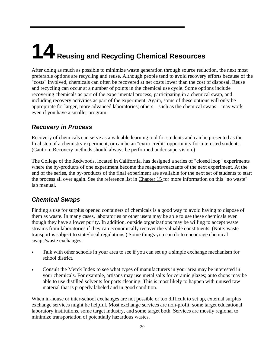# <span id="page-29-0"></span>**14 Reusing and Recycling Chemical Resources**

After doing as much as possible to minimize waste generation through source reduction, the next most preferable options are recycling and reuse. Although people tend to avoid recovery efforts because of the "costs" involved, chemicals can often be recovered at net costs lower than the cost of disposal. Reuse and recycling can occur at a number of points in the chemical use cycle. Some options include recovering chemicals as part of the experimental process, participating in a chemical swap, and including recovery activities as part of the experiment. Again, some of these options will only be appropriate for larger, more advanced laboratories; others—such as the chemical swaps—may work even if you have a smaller program.

### <span id="page-29-1"></span>*Recovery in Process*

Recovery of chemicals can serve as a valuable learning tool for students and can be presented as the final step of a chemistry experiment, or can be an "extra-credit" opportunity for interested students. (Caution: Recovery methods should always be performed under supervision.)

The College of the Redwoods, located in California, has designed a series of "closed loop" experiments where the by-products of one experiment become the reagents/reactants of the next experiment. At the end of the series, the by-products of the final experiment are available for the next set of students to start the process all over again. See the reference list in Chapter 15 for more information on this "no waste" lab manual.

### <span id="page-29-2"></span>*Chemical Swaps*

Finding a use for surplus opened containers of chemicals is a good way to avoid having to dispose of them as waste. In many cases, laboratories or other users may be able to use these chemicals even though they have a lower purity. In addition, outside organizations may be willing to accept waste streams from laboratories if they can economically recover the valuable constituents. (Note: waste transport is subject to state/local regulations.) Some things you can do to encourage chemical swaps/waste exchanges:

- Talk with other schools in your area to see if you can set up a simple exchange mechanism for school district.
- Consult the Merck Index to see what types of manufacturers in your area may be interested in your chemicals. For example, artisans may use metal salts for ceramic glazes; auto shops may be able to use distilled solvents for parts cleaning. This is most likely to happen with unused raw material that is properly labeled and in good condition.

When in-house or inter-school exchanges are not possible or too difficult to set up, external surplus exchange services might be helpful. Most exchange services are non-profit; some target educational laboratory institutions, some target industry, and some target both. Services are mostly regional to minimize transportation of potentially hazardous wastes.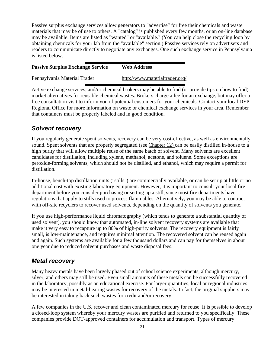Passive surplus exchange services allow generators to "advertise" for free their chemicals and waste materials that may be of use to others. A "catalog" is published every few months, or an on-line database may be available. Items are listed as "wanted" or "available." (You can help close the recycling loop by obtaining chemicals for your lab from the "available" section.) Passive services rely on advertisers and readers to communicate directly to negotiate any exchanges. One such exchange service in Pennsylvania is listed below.

| <b>Passive Surplus Exchange Service</b> | <b>Web Address</b>             |
|-----------------------------------------|--------------------------------|
| Pennsylvania Material Trader            | http://www.materialtrader.org/ |

Active exchange services, and/or chemical brokers may be able to find (or provide tips on how to find) market alternatives for reusable chemical wastes. Brokers charge a fee for an exchange, but may offer a free consultation visit to inform you of potential customers for your chemicals. Contact your local DEP Regional Office for more information on waste or chemical exchange services in your area. Remember that containers must be properly labeled and in good condition.

## <span id="page-30-0"></span>*Solvent recovery*

If you regularly generate spent solvents, recovery can be very cost-effective, as well as environmentally sound. Spent solvents that are properly segregated (see Chapter 12) can be easily distilled in-house to a high purity that will allow multiple reuse of the same batch of solvent. Many solvents are excellent candidates for distillation, including xylene, methanol, acetone, and toluene. Some exceptions are peroxide-forming solvents, which should not be distilled, and ethanol, which may require a permit for distillation.

In-house, bench-top distillation units ("stills") are commercially available, or can be set up at little or no additional cost with existing laboratory equipment. However, it is important to consult your local fire department before you consider purchasing or setting up a still, since most fire departments have regulations that apply to stills used to process flammables. Alternatively, you may be able to contract with off-site recyclers to recover used solvents, depending on the quantity of solvents you generate.

If you use high-performance liquid chromatography (which tends to generate a substantial quantity of used solvent), you should know that automated, in-line solvent recovery systems are available that make it very easy to recapture up to 80% of high-purity solvents. The recovery equipment is fairly small, is low-maintenance, and requires minimal attention. The recovered solvent can be reused again and again. Such systems are available for a few thousand dollars and can pay for themselves in about one year due to reduced solvent purchases and waste disposal fees.

### <span id="page-30-1"></span>*Metal recovery*

Many heavy metals have been largely phased out of school science experiments, although mercury, silver, and others may still be used. Even small amounts of these metals can be successfully recovered in the laboratory, possibly as an educational exercise. For larger quantities, local or regional industries may be interested in metal-bearing wastes for recovery of the metals. In fact, the original suppliers may be interested in taking back such wastes for credit and/or recovery.

A few companies in the U.S. recover and clean contaminated mercury for reuse. It is possible to develop a closed-loop system whereby your mercury wastes are purified and returned to you specifically. These companies provide DOT-approved containers for accumulation and transport. Types of mercury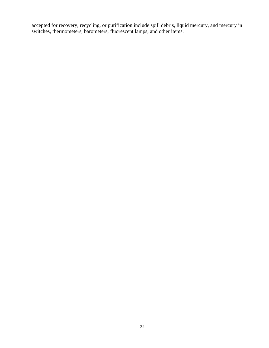accepted for recovery, recycling, or purification include spill debris, liquid mercury, and mercury in switches, thermometers, barometers, fluorescent lamps, and other items.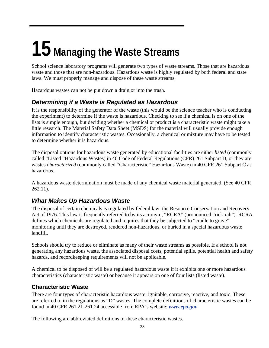## **15 Managing the Waste Streams**

School science laboratory programs will generate two types of waste streams. Those that are hazardous waste and those that are non-hazardous. Hazardous waste is highly regulated by both federal and state laws. We must properly manage and dispose of these waste streams.

Hazardous wastes can not be put down a drain or into the trash.

### *Determining if a Waste is Regulated as Hazardous*

It is the responsibility of the generator of the waste (this would be the science teacher who is conducting the experiment) to determine if the waste is hazardous. Checking to see if a chemical is on one of the lists is simple enough, but deciding whether a chemical or product is a characteristic waste might take a little research. The Material Safety Data Sheet (MSDS) for the material will usually provide enough information to identify characteristic wastes. Occasionally, a chemical or mixture may have to be tested to determine whether it is hazardous.

The disposal options for hazardous waste generated by educational facilities are either *listed* (commonly called "Listed "Hazardous Wastes) in 40 Code of Federal Regulations (CFR) 261 Subpart D, or they are wastes *characterized* (commonly called "Characteristic" Hazardous Waste) in 40 CFR 261 Subpart C as hazardous.

A hazardous waste determination must be made of any chemical waste material generated. (See 40 CFR 262.11).

### *What Makes Up Hazardous Waste*

The disposal of certain chemicals is regulated by federal law: the Resource Conservation and Recovery Act of 1976. This law is frequently referred to by its acronym, "RCRA" (pronounced "rick-rah"). RCRA defines which chemicals are regulated and requires that they be subjected to "cradle to grave" monitoring until they are destroyed, rendered non-hazardous, or buried in a special hazardous waste landfill.

Schools should try to reduce or eliminate as many of their waste streams as possible. If a school is not generating any hazardous waste, the associated disposal costs, potential spills, potential health and safety hazards, and recordkeeping requirements will not be applicable.

A chemical to be disposed of will be a regulated hazardous waste if it exhibits one or more hazardous characteristics (characteristic waste) or because it appears on one of four lists (listed waste).

#### **Characteristic Waste**

There are four types of characteristic hazardous waste: ignitable, corrosive, reactive, and toxic. These are referred to in the regulations as "D" wastes. The complete definitions of characteristic wastes can be found in 40 CFR 261.21-261.24 accessible from EPA's website: *www.epa.gov*

The following are abbreviated definitions of these characteristic wastes.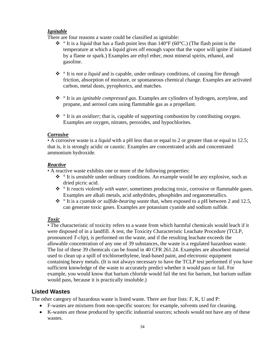#### *Ignitable*

There are four reasons a waste could be classified as ignitable:

- $\cdot \cdot$  <sup>o</sup> It is a *liquid* that has a flash point less than 140°F (60°C.) (The flash point is the temperature at which a liquid gives off enough vapor that the vapor will ignite if initiated by a flame or spark.) Examples are ethyl ether, most mineral spirits, ethanol, and gasoline.
- ° It is *not a liquid* and is capable, under ordinary conditions, of causing fire through friction, absorption of moisture, or spontaneous chemical change. Examples are activated carbon, metal dusts, pyrophorics, and matches.
- ° It is an *ignitable compressed gas*. Examples are cylinders of hydrogen, acetylene, and propane, and aerosol cans using flammable gas as a propellant.
- ° It is an *oxidizer*; that is, capable of supporting combustion by contributing oxygen. Examples are oxygen, nitrates, peroxides, and hypochlorites.

#### *Corrosive*

• A corrosive waste is a *liquid* with a pH less than or equal to 2 or greater than or equal to 12.5; that is, it is strongly acidic or caustic. Examples are concentrated acids and concentrated ammonium hydroxide.

#### *Reactive*

• A reactive waste exhibits one or more of the following properties:

- ° It is *unstable* under ordinary conditions. An example would be any explosive, such as dried picric acid.
- ° It *reacts violently with water*, sometimes producing toxic, corrosive or flammable gases. Examples are alkali metals, acid anhydrides, phosphides and organometallics.
- ° It is a *cyanide or sulfide-bearing waste* that, when exposed to a pH between 2 and 12.5, can generate toxic gases. Examples are potassium cyanide and sodium sulfide.

#### *Toxic*

• The characteristic of toxicity refers to a waste from which harmful chemicals would leach if it were disposed of in a landfill. A test, the Toxicity Characteristic Leachate Procedure (TCLP, pronounced *T-clip*), is performed on the waste, and if the resulting leachate exceeds the allowable concentration of any one of 39 substances, the waste is a regulated hazardous waste. The list of these 39 chemicals can be found in 40 CFR 261.24. Examples are absorbent material used to clean up a spill of trichloroethylene, lead-based paint, and electronic equipment containing heavy metals. (It is not always necessary to have the TCLP test performed if you have sufficient knowledge of the waste to accurately predict whether it would pass or fail. For example, you would know that barium chloride would fail the test for barium, but barium sulfate would pass, because it is practically insoluble.)

#### **Listed Wastes**

The other category of hazardous waste is listed waste. There are four lists: F, K, U and P:

- F-wastes are mixtures from non-specific sources: for example, solvents used for cleaning.
- K-wastes are those produced by specific industrial sources; schools would not have any of these wastes.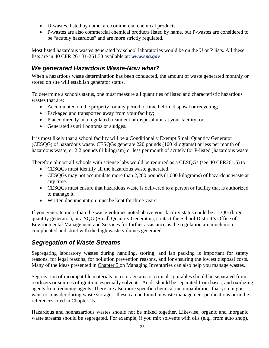- U-wastes, listed by name, are commercial chemical products.
- P-wastes are also commercial chemical products listed by name, but P-wastes are considered to be "acutely hazardous" and are more strictly regulated.

Most listed hazardous wastes generated by school laboratories would be on the U or P lists. All these lists are in 40 CFR 261.31-261.33 available at: *www.epa.gov*

#### *We generated Hazardous Waste-Now what?*

When a hazardous waste determination has been conducted, the amount of waste generated monthly or stored on site will establish generator status.

To determine a schools status, one must measure all quantities of listed and characteristic hazardous wastes that are:

- Accumulated on the property for any period of time before disposal or recycling;
- Packaged and transported away from your facility;
- Placed directly in a regulated treatment or disposal unit at your facility; or
- Generated as still bottoms or sludges.

It is most likely that a school facility will be a Conditionally Exempt Small Quantity Generator (CESQG) of hazardous waste. CESQGs generate 220 pounds (100 kilograms) or less per month of hazardous waste, or 2.2 pounds (1 kilogram) or less per month of acutely (or P-listed )hazardous waste.

Therefore almost all schools with science labs would be required as a CESQGs (see 40 CFR261.5) to:

- CESQGs must identify all the hazardous waste generated.
- CESQGs may not accumulate more than 2,200 pounds (1,000 kilograms) of hazardous waste at any time.
- CESQGs must ensure that hazardous waste is delivered to a person or facility that is authorized to manage it.
- Written documentation must be kept for three years.

If you generate more than the waste volumes noted above your facility status could be a LQG (large quantity generator), or a SQG (Small Quantity Generator), contact the School District's Office of Environmental Management and Services for further assistance as the regulation are much more complicated and strict with the high waste volumes generated.

#### *Segregation of Waste Streams*

Segregating laboratory wastes during handling, storing, and lab packing is important for safety reasons, for legal reasons, for pollution prevention reasons, and for ensuring the lowest disposal costs. Many of the ideas presented in Chapter 5 on Managing Inventories can also help you manage wastes.

Segregation of incompatible materials in a storage area is critical. Ignitables should be separated from oxidizers or sources of ignition, especially solvents. Acids should be separated from bases, and oxidizing agents from reducing agents. There are also more specific chemical incompatibilities that you might want to consider during waste storage—these can be found in waste management publications or in the references cited in Chapter 15.

Hazardous and nonhazardous wastes should not be mixed together. Likewise, organic and inorganic waste streams should be segregated. For example, if you mix solvents with oils (e.g., from auto shop),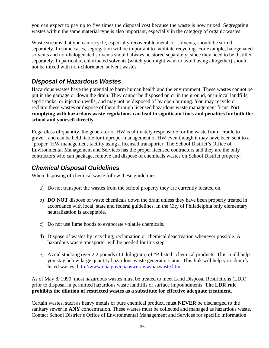you can expect to pay up to five times the disposal cost because the waste is now mixed. Segregating wastes within the same material type is also important, especially in the category of organic wastes.

Waste streams that you can recycle, especially recoverable metals or solvents, should be stored separately. In some cases, segregation will be important to facilitate recycling. For example, halogenated solvents and non-halogenated solvents should always be stored separately, since they need to be distilled separately. In particular, chlorinated solvents (which you might want to avoid using altogether) should not be mixed with non-chlorinated solvent wastes.

### *Disposal of Hazardous Wastes*

Hazardous wastes have the potential to harm human health and the environment. These wastes cannot be put in the garbage or down the drain. They cannot be disposed on or in the ground, or in local landfills, septic tanks, or injection wells, and may not be disposed of by open burning. You may recycle or reclaim these wastes or dispose of them through licensed hazardous waste management firms. **Not complying with hazardous waste regulations can lead to significant fines and penalties for both the school and yourself directly.**

Regardless of quantity, the generator of HW is ultimately responsible for the waste from "cradle to grave", and can be held liable for improper management of HW even though it may have been sent to a "proper" HW management facility using a licensed transporter. The School District's Office of Environmental Management and Services has the proper licensed contractors and they are the only contractors who can package, remove and dispose of chemicals wastes on School District property.

#### <span id="page-35-0"></span>*Chemical Disposal Guidelines*

When disposing of chemical waste follow these guidelines:

- a) Do not transport the wastes from the school property they are currently located on.
- b) **DO NOT** dispose of waste chemicals down the drain unless they have been properly treated in accordance with local, state and federal guidelines. In the City of Philadelphia only elementary neutralization is acceptable.
- c) Do not use fume hoods to evaporate volatile chemicals.
- d) Dispose of wastes by recycling, reclamation or chemical deactivation whenever possible. A hazardous waste transporter will be needed for this step.
- e) Avoid stocking over 2.2 pounds (1.0 kilogram) of "P-listed" chemical products. This could help you stay below large quantity hazardous waste generator status. This link will help you identify listed wastes. http://www.epa.gov/epaoswer/osw/hazwaste.htm.

As of May 8, 1990, most hazardous wastes must be treated to meet Land Disposal Restrictions (LDR) prior to disposal in permitted hazardous waste landfills or surface impoundments. **The LDR rule prohibits the dilution of restricted wastes as a substitute for effective adequate treatment.**

Certain wastes, such as heavy metals or pure chemical product, must **NEVER** be discharged to the sanitary sewer in **ANY** concentration. These wastes must be collected and managed as hazardous waste. Contact School District's Office of Environmental Management and Services for specific information.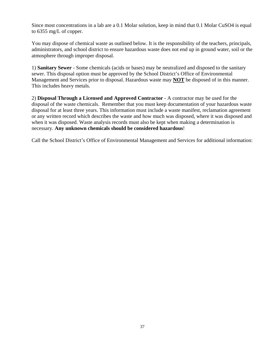Since most concentrations in a lab are a 0.1 Molar solution, keep in mind that 0.1 Molar CuSO4 is equal to 6355 mg/L of copper.

You may dispose of chemical waste as outlined below. It is the responsibility of the teachers, principals, administrators, and school district to ensure hazardous waste does not end up in ground water, soil or the atmosphere through improper disposal.

1) **Sanitary Sewer** - Some chemicals (acids or bases) may be neutralized and disposed to the sanitary sewer. This disposal option must be approved by the School District's Office of Environmental Management and Services prior to disposal. Hazardous waste may **NOT** be disposed of in this manner. This includes heavy metals.

2) **Disposal Through a Licensed and Approved Contractor** - A contractor may be used for the disposal of the waste chemicals. Remember that you must keep documentation of your hazardous waste disposal for at least three years. This information must include a waste manifest, reclamation agreement or any written record which describes the waste and how much was disposed, where it was disposed and when it was disposed. Waste analysis records must also be kept when making a determination is necessary. **Any unknown chemicals should be considered hazardous**!

Call the School District's Office of Environmental Management and Services for additional information: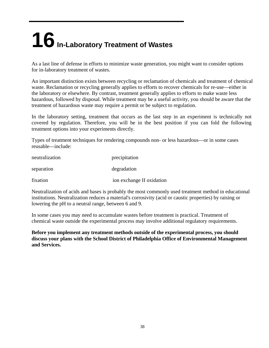## <span id="page-37-0"></span>**16 In-Laboratory Treatment of Wastes**

As a last line of defense in efforts to minimize waste generation, you might want to consider options for in-laboratory treatment of wastes.

An important distinction exists between recycling or reclamation of chemicals and treatment of chemical waste. Reclamation or recycling generally applies to efforts to recover chemicals for re-use—either in the laboratory or elsewhere. By contrast, treatment generally applies to efforts to make waste less hazardous, followed by disposal. While treatment may be a useful activity, you should be aware that the treatment of hazardous waste may require a permit or be subject to regulation.

In the laboratory setting, treatment that occurs as the last step in an experiment is technically not covered by regulation. Therefore, you will be in the best position if you can fold the following treatment options into your experiments directly.

Types of treatment techniques for rendering compounds non- or less hazardous—or in some cases reusable—include:

| neutralization | precipitation             |
|----------------|---------------------------|
| separation     | degradation               |
| fixation       | ion exchange II oxidation |

Neutralization of acids and bases is probably the most commonly used treatment method in educational institutions. Neutralization reduces a material's corrosivity (acid or caustic properties) by raising or lowering the pH to a neutral range, between 6 and 9.

In some cases you may need to accumulate wastes before treatment is practical. Treatment of chemical waste outside the experimental process may involve additional regulatory requirements.

**Before you implement any treatment methods outside of the experimental process, you should discuss your plans with the School District of Philadelphia Office of Environmental Management and Services.**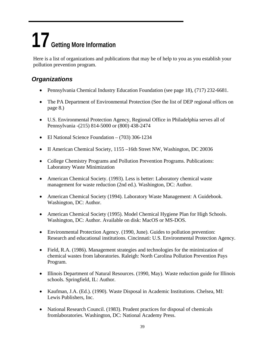## <span id="page-38-0"></span>**17 Getting More Information**

Here is a list of organizations and publications that may be of help to you as you establish your pollution prevention program.

## <span id="page-38-1"></span>*Organizations*

- Pennsylvania Chemical Industry Education Foundation (see page 18), (717) 232-6681.
- The PA Department of Environmental Protection (See the list of DEP regional offices on page 8.)
- U.S. Environmental Protection Agency, Regional Office in Philadelphia serves all of Pennsylvania -(215) 814-5000 or (800) 438-2474
- El National Science Foundation (703) 306-1234
- II American Chemical Society, 1155 –16th Street NW, Washington, DC 20036
- College Chemistry Programs and Pollution Prevention Programs. Publications: Laboratory Waste Minimization
- American Chemical Society. (1993). Less is better: Laboratory chemical waste management for waste reduction (2nd ed.). Washington, DC: Author.
- American Chemical Society (1994). Laboratory Waste Management: A Guidebook. Washington, DC: Author.
- American Chemical Society (1995). Model Chemical Hygiene Plan for High Schools. Washington, DC: Author. Available on disk: MacOS or MS-DOS.
- Environmental Protection Agency. (1990, June). Guides to pollution prevention: Research and educational institutions. Cincinnati: U.S. Environmental Protection Agency.
- Field, R.A. (1986). Management strategies and technologies for the minimization of chemical wastes from laboratories. Raleigh: North Carolina Pollution Prevention Pays Program.
- Illinois Department of Natural Resources. (1990, May). Waste reduction guide for Illinois schools. Springfield, IL: Author.
- Kaufman, J.A. (Ed.). (1990). Waste Disposal in Academic Institutions. Chelsea, MI: Lewis Publishers, Inc.
- National Research Council. (1983). Prudent practices for disposal of chemicals fromlaboratories. Washington, DC: National Academy Press.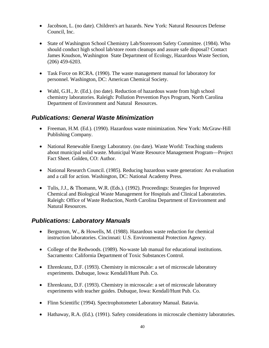- Jacobson, L. (no date). Children's art hazards. New York: Natural Resources Defense Council, Inc.
- State of Washington School Chemistry Lab/Storeroom Safety Committee. (1984). Who should conduct high school lab/store room cleanups and assure safe disposal? Contact James Knudson, Washington State Department of Ecology, Hazardous Waste Section, (206) 459-6203.
- Task Force on RCRA. (1990). The waste management manual for laboratory for personnel. Washington, DC: American Chemical Society.
- Wahl, G.H., Jr. (Ed.). (no date). Reduction of hazardous waste from high school chemistry laboratories. Raleigh: Pollution Prevention Pays Program, North Carolina Department of Environment and Natural Resources.

#### <span id="page-39-0"></span>*Publications: General Waste Minimization*

- Freeman, H.M. (Ed.). (1990). Hazardous waste minimization. New York: McGraw-Hill Publishing Company.
- National Renewable Energy Laboratory. (no date). Waste World: Teaching students about municipal solid waste. Municipal Waste Resource Management Program—Project Fact Sheet. Golden, CO: Author.
- National Research Council. (1985). Reducing hazardous waste generation: An evaluation and a call for action. Washington, DC: National Academy Press.
- Tulis, J.J., & Thomann, W.R. (Eds.). (1992). Proceedings: Strategies for Improved Chemical and Biological Waste Management for Hospitals and Clinical Laboratories. Raleigh: Office of Waste Reduction, North Carolina Department of Environment and Natural Resources.

#### <span id="page-39-1"></span>*Publications: Laboratory Manuals*

- Bergstrom, W., & Howells, M. (1988). Hazardous waste reduction for chemical instruction laboratories. Cincinnati: U.S. Environmental Protection Agency.
- College of the Redwoods. (1989). No-waste lab manual for educational institutions. Sacramento: California Department of Toxic Substances Control.
- Ehrenkranz, D.F. (1993). Chemistry in microscale: a set of microscale laboratory experiments. Dubuque, Iowa: Kendall/Hunt Pub. Co.
- Ehrenkranz, D.F. (1993). Chemistry in microscale: a set of microscale laboratory experiments with teacher guides. Dubuque, Iowa: Kendall/Hunt Pub. Co.
- Flinn Scientific (1994). Spectrophotometer Laboratory Manual. Batavia.
- Hathaway, R.A. (Ed.). (1991). Safety considerations in microscale chemistry laboratories.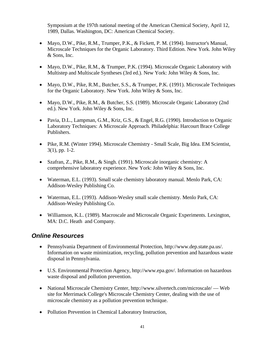Symposium at the 197th national meeting of the American Chemical Society, April 12, 1989, Dallas. Washington, DC: American Chemical Society.

- Mayo, D.W., Pike, R.M., Trumper, P.K., & Fickett, P. M. (1994). Instructor's Manual, Microscale Techniques for the Organic Laboratory. Third Edition. New York. John Wiley & Sons, Inc.
- Mayo, D.W., Pike, R.M., & Trumper, P.K. (1994). Microscale Organic Laboratory with Multistep and Multiscale Syntheses (3rd ed.). New York: John Wiley & Sons, Inc.
- Mayo, D.W., Pike, R.M., Butcher, S.S., & Trumper, P.K. (1991). Microscale Techniques for the Organic Laboratory. New York. John Wiley & Sons, Inc.
- Mayo, D.W., Pike, R.M., & Butcher, S.S. (1989). Microscale Organic Laboratory (2nd ed.). New York. John Wiley & Sons, Inc.
- Pavia, D.L., Lampman, G.M., Kriz, G.S., & Engel, R.G. (1990). Introduction to Organic Laboratory Techniques: A Microscale Approach. Philadelphia: Harcourt Brace College Publishers.
- Pike, R.M. (Winter 1994). Microscale Chemistry Small Scale, Big Idea. EM Scientist, 3(1), pp. 1-2.
- Szafran, Z., Pike, R.M., & Singh. (1991). Microscale inorganic chemistry: A comprehensive laboratory experience. New York: John Wiley & Sons, Inc.
- Waterman, E.L. (1993). Small scale chemistry laboratory manual. Menlo Park, CA: Addison-Wesley Publishing Co.
- Waterman, E.L. (1993). Addison-Wesley small scale chemistry. Menlo Park, CA: Addison-Wesley Publishing Co.
- Williamson, K.L. (1989). Macroscale and Microscale Organic Experiments. Lexington, MA: D.C. Heath and Company.

#### <span id="page-40-0"></span>*Online Resources*

- Pennsylvania Department of Environmental Protection, http://www.dep.state.pa.us/. Information on waste minimization, recycling, pollution prevention and hazardous waste disposal in Pennsylvania.
- U.S. Environmental Protection Agency, http://www.epa.gov/. Information on hazardous waste disposal and pollution prevention.
- National Microscale Chemistry Center, http://www.silvertech.com/microscale/ Web site for Merrimack College's Microscale Chemistry Center, dealing with the use of microscale chemistry as a pollution prevention technique.
- Pollution Prevention in Chemical Laboratory Instruction,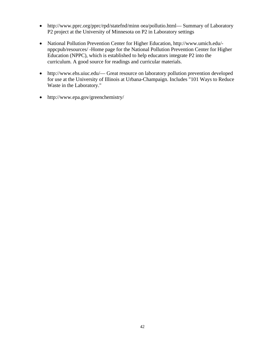- http://www.pprc.org/pprc/rpd/statefnd/minn oea/pollutio.html— Summary of Laboratory P2 project at the University of Minnesota on P2 in Laboratory settings
- National Pollution Prevention Center for Higher Education, http://www.umich.edu/ nppcpub/resources/ -Home page for the National Pollution Prevention Center for Higher Education (NPPC), which is established to help educators integrate P2 into the curriculum. A good source for readings and curricular materials.
- http://www.ehs.uiuc.edu/— Great resource on laboratory pollution prevention developed for use at the University of Illinois at Urbana-Champaign. Includes "101 Ways to Reduce Waste in the Laboratory."
- http://www.epa.gov/greenchemistry/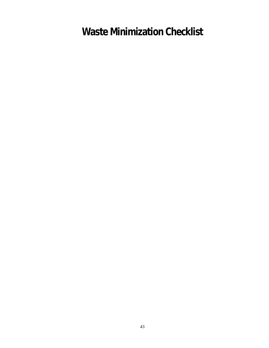**Waste Minimization Checklist**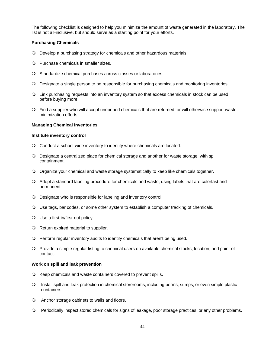The following checklist is designed to help you minimize the amount of waste generated in the laboratory. The list is not all-inclusive, but should serve as a starting point for your efforts.

#### **Purchasing Chemicals**

- Develop a purchasing strategy for chemicals and other hazardous materials.
- O Purchase chemicals in smaller sizes.
- O Standardize chemical purchases across classes or laboratories.
- Designate a single person to be responsible for purchasing chemicals and monitoring inventories.
- Link purchasing requests into an inventory system so that excess chemicals in stock can be used before buying more.
- Find a supplier who will accept unopened chemicals that are returned, or will otherwise support waste minimization efforts.

#### **Managing Chemical Inventories**

#### **Institute inventory control**

- Conduct a school-wide inventory to identify where chemicals are located.
- Designate a centralized place for chemical storage and another for waste storage, with spill containment.
- O Organize your chemical and waste storage systematically to keep like chemicals together.
- Adopt a standard labeling procedure for chemicals and waste, using labels that are colorfast and permanent.
- Designate who is responsible for labeling and inventory control.
- Use tags, bar codes, or some other system to establish a computer tracking of chemicals.
- Use a first-in/first-out policy.
- $\bigcirc$  Return expired material to supplier.
- Perform regular inventory audits to identify chemicals that aren't being used.
- Provide a simple regular listing to chemical users on available chemical stocks, location, and point-ofcontact.

#### **Work on spill and leak prevention**

- O Keep chemicals and waste containers covered to prevent spills.
- O Install spill and leak protection in chemical storerooms, including berms, sumps, or even simple plastic containers.
- Anchor storage cabinets to walls and floors.
- Periodically inspect stored chemicals for signs of leakage, poor storage practices, or any other problems.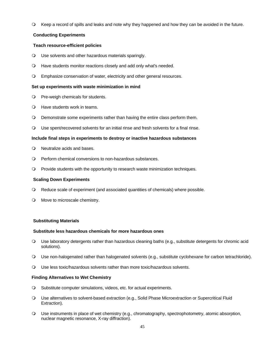Keep a record of spills and leaks and note why they happened and how they can be avoided in the future.

#### **Conducting Experiments**

#### **Teach resource-efficient policies**

- Use solvents and other hazardous materials sparingly.
- Have students monitor reactions closely and add only what's needed.
- Emphasize conservation of water, electricity and other general resources.

#### **Set up experiments with waste minimization in mind**

- O Pre-weigh chemicals for students.
- Have students work in teams.
- Demonstrate some experiments rather than having the entire class perform them.
- Use spent/recovered solvents for an initial rinse and fresh solvents for a final rinse.

#### **Include final steps in experiments to destroy or inactive hazardous substances**

- Neutralize acids and bases.
- Perform chemical conversions to non-hazardous substances.
- Provide students with the opportunity to research waste minimization techniques.

#### **Scaling Down Experiments**

- Reduce scale of experiment (and associated quantities of chemicals) where possible.
- O Move to microscale chemistry.

#### **Substituting Materials**

#### **Substitute less hazardous chemicals for more hazardous ones**

- Use laboratory detergents rather than hazardous cleaning baths (e.g., substitute detergents for chromic acid solutions).
- Use non-halogenated rather than halogenated solvents (e.g., substitute cyclohexane for carbon tetrachloride).
- Use less toxic/hazardous solvents rather than more toxic/hazardous solvents.

#### **Finding Alternatives to Wet Chemistry**

- O Substitute computer simulations, videos, etc. for actual experiments.
- Use alternatives to solvent-based extraction (e.g., Solid Phase Microextraction or Supercritical Fluid Extraction).
- Use instruments in place of wet chemistry (e.g., chromatography, spectrophotometry, atomic absorption, nuclear magnetic resonance, X-ray diffraction).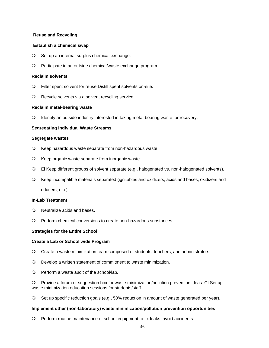#### **Reuse and Recycling**

#### **Establish a chemical swap**

- O Set up an internal surplus chemical exchange.
- Participate in an outside chemical/waste exchange program.

#### **Reclaim solvents**

- Filter spent solvent for reuse.Distill spent solvents on-site.
- Q Recycle solvents via a solvent recycling service.

#### **Reclaim metal-bearing waste**

Identify an outside industry interested in taking metal-bearing waste for recovery.

#### **Segregating Individual Waste Streams**

#### **Segregate wastes**

- Keep hazardous waste separate from non-hazardous waste.
- Keep organic waste separate from inorganic waste.
- El Keep different groups of solvent separate (e.g., halogenated vs. non-halogenated solvents).
- Keep incompatible materials separated (ignitables and oxidizers; acids and bases; oxidizers and

reducers, etc.).

#### **In-Lab Treatment**

- Neutralize acids and bases.
- Perform chemical conversions to create non-hazardous substances.

#### **Strategies for the Entire School**

#### **Create a Lab or School wide Program**

- Create a waste minimization team composed of students, teachers, and administrators.
- Develop a written statement of commitment to waste minimization.
- Perform a waste audit of the school/lab.

 Provide a forum or suggestion box for waste minimization/pollution prevention ideas. CI Set up waste minimization education sessions for students/staff.

Set up specific reduction goals (e.g., 50% reduction in amount of waste generated per year).

#### **Implement other (non-laboratory) waste minimization/pollution prevention opportunities**

Perform routine maintenance of school equipment to fix leaks, avoid accidents.